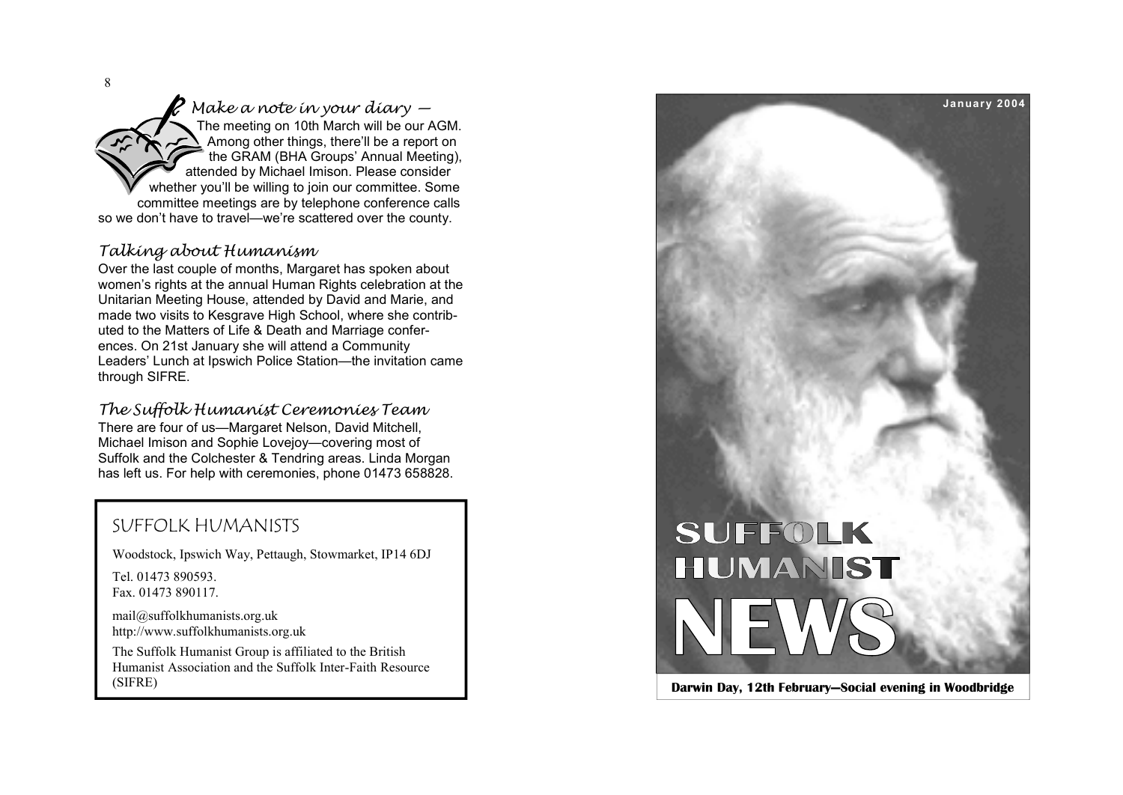8

*Make a note in your diary —*  The meeting on 10th March will be our AGM. Among other things, there'll be a report on the GRAM (BHA Groups' Annual Meeting), attended by Michael Imison. Please consider whether you'll be willing to join our committee. Some committee meetings are by telephone conference calls so we don't have to travel—we're scattered over the county.

#### *Talking about Humanism*

Over the last couple of months, Margaret has spoken about women's rights at the annual Human Rights celebration at the Unitarian Meeting House, attended by David and Marie, and made two visits to Kesgrave High School, where she contributed to the Matters of Life & Death and Marriage conferences. On 21st January she will attend a Community Leaders' Lunch at Ipswich Police Station—the invitation came through SIFRE.

*The Suffolk Humanist Ceremonies Team*  There are four of us—Margaret Nelson, David Mitchell, Michael Imison and Sophie Lovejoy—covering most of Suffolk and the Colchester & Tendring areas. Linda Morgan has left us. For help with ceremonies, phone 01473 658828.

## SUFFOLK HUMANISTS

Woodstock, Ipswich Way, Pettaugh, Stowmarket, IP14 6DJ

Tel. 01473 890593. Fax. 01473 890117.

[mail@suffolkhumanists.org.uk](mailto:mail@suffolkhumanists.org.uk) <http://www.suffolkhumanists.org.uk>

The Suffolk Humanist Group is affiliated to the British Humanist Association and the Suffolk Inter-Faith Resource (SIFRE)

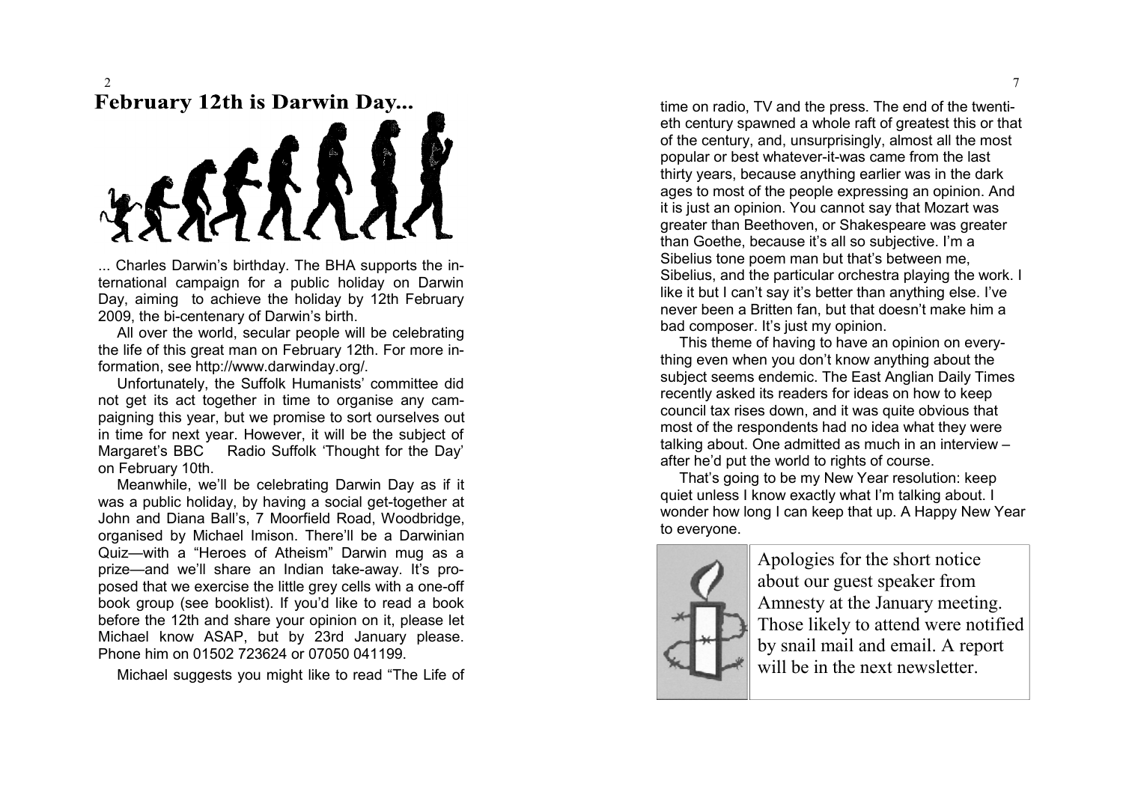### $\mathcal{L}$ **February 12th is Darwin Day...**



... Charles Darwin's birthday. The BHA supports the international campaign for a public holiday on Darwin Day, aiming to achieve the holiday by 12th February 2009, the bi-centen a r y of Darwin's birth.

All o ver the world, secular people will be celebrating the life of this great man on February 12th. For more information, see [http://www.darwinday.org/.](http://www.darwinday.org/)

Unfortunately, the Suffolk Humanists' committee did not get its act together in time to organise any campaigning this year, but we promise to sort ourselves out in time for next year. However, it will be the subject of Mar garet' s BBC Radio Suffolk 'Thought for the Day' on February 10th.

Mea nwhile, we'll be celebrati n g Darwin Da y as if it was a public holiday, by having a social get-together at John and Diana Ball's, 7 Moorfield Road, Woodbridge, or ganised b y Michael Imison. There'll b e a D a rwinian Quiz—with a "Heroes of Atheism" Darwin mug as a prize—and we'll share an Indian take-away. It's proposed that we exercise the little grey cells with a one-off book group (see booklist). If you'd like to read a book b e fore the 1 2th and sh are your opinion on it, pl ease let Michael know ASAP, but by 23rd January please. Phone him o n 01502 7 23624 or 07050 04119 9.

Michael suggests you might like to read "The Life of

time on radio, TV and the press. The end of the twentieth century spawned a whole raft of greatest this or that of the century, and, unsurprisingly, almost all the most popular or best whate ver-it-was cam e fr om the l ast thirty years, because anything earlier was in the dark ages to most of the people expressing an opinion. And it is just an opinion. You cannot sa y that M o zart was greater than Beethoven, or Shakespeare was greater than Goeth e, b ecause it's all so su bje cti ve. I'm a Sibelius tone poem man but that's between me, Sibelius, and the particular orchestra playing the work. I like it but I can't say it's better than anything else. I've never been a Britten fan, but that doesn't make him a bad comp oser. It' s ju st m y opinion.

This theme of having to have an opinion on everything even when you don't know anything about the subject seems endemic. The East Anglian Daily Times recently asked its readers for ideas on how to keep council ta x rises do wn, and it was quite ob vious that most of t he respondent s had no idea what the y were talking about. One admitted as much in an interview a ft er he'd p ut the world to right s of co urse.

That's going to be my New Year resolution: keep quiet unless I know exactly what I'm talking about. I wonder how long I can keep that up. A Happy New Year to e ver yone.



Apologies for the short notice about our gu est spe aker fro m A mnest y at the J anu ary meeting. Those likely to attend were notified by snail mail and email. A report will be in the next newsletter.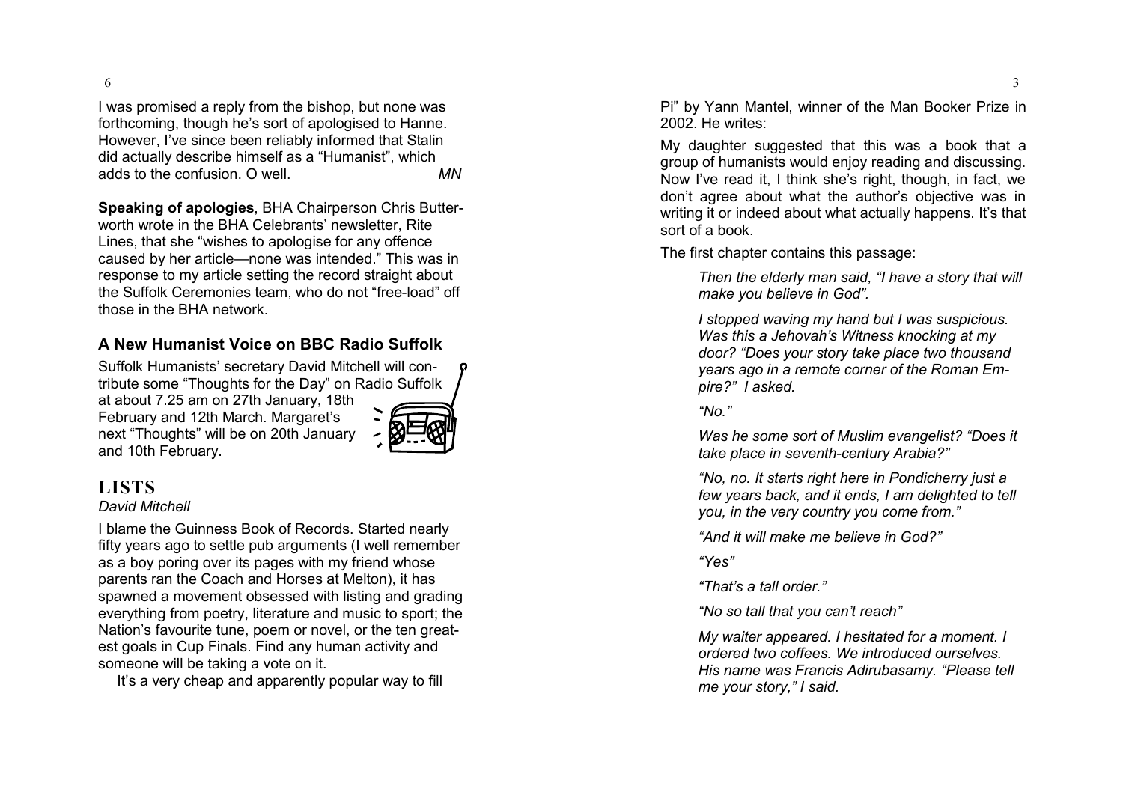6

I was promised a reply from the bishop, but none was forthcoming, though he's sort of apologised to Hanne. However, I've since been reliably informed that Stalin did actuall y describe himself a s a "Humanist", which adds t o th e co nfusion. O w ell. *MN* 

Speaking of apologies, BHA Chairperson Chris Butterworth wrote in the BHA Celebrants' newsletter, Rite Lines, th at she " wishes to apolo gis e f or an y offe nce caused by her article—none was intended." This was in response to my article setting the record straight about the Suffolk Ceremonies team, who do not "free-load" off those in th e BHA net work.

### **A Ne w Humanist V oice on BBC Radio Su ffolk**

Suffolk Humanists' secretary David Mitchell will contribute some "Thoughts for the Day" on Radio Suffolk at about 7.25 am on 27th January, 18th February and 12th March. Margaret's ne xt "Tho u ght s" will be on 20t h January and 10th February.



# **LISTS**

#### *David Mitchell*

I blam e th e Guinness B ook of Record s. Started nearly fifty years ago to settle pub arguments (I well remember as a boy poring over its pages with my friend whose parent s ra n th e Coach and Horse s at Melton), it has spa wned a mo vement obsessed with listing and grading everything from poetry, literature and music to sport; the Nation's favourite tune, poem or novel, or the ten greatest goals in Cup Finals. Find any human activity and someone will be taking a vote on it.

It's a very cheap and apparently popular way to fill

Pi" by Yann Mantel, winner of the Man Booker Prize in 2002. He write s:

My daughter suggested that this was a book that a group of humani sts would enjo y reading and dis cussing. Now I've read it, I think she's right, though, in fact, we don't agree about what the author's objective was in writing it or indeed about what actually happens. It's that sort of a bo ok.

The first chapter contains this passage:

*Then the elderly man said, "I have a story that will make you believe in God".* 

*I* stopped waving my hand but I was suspicious. Was this a Jehovah's Witness knocking at my door? "Does your story take place two thousand years ago in a remote corner of the Roman Em*pire?" I asked.* 

*"No ."* 

*Was h e s ome s ort of M uslim evangelist? "Does it take plac e in seve nth-c entury Arabia ?"* 

*"No, n o. It starts right here in Pondicherry just a*  few years back, and it ends, I am delighted to tell *you, in the very country you come from."* 

*"And it will m ake me believe in God ?"* 

*"Ye s"* 

*"That 's a tall order."* 

"No so tall that you can't reach"

*My waiter appeared. I hesitated for a moment. I ordere d two coffees. We introduced o urselve s. His name wa s Fra ncis Adirubasam y. "Please tell me yo ur st ory, " I said.*